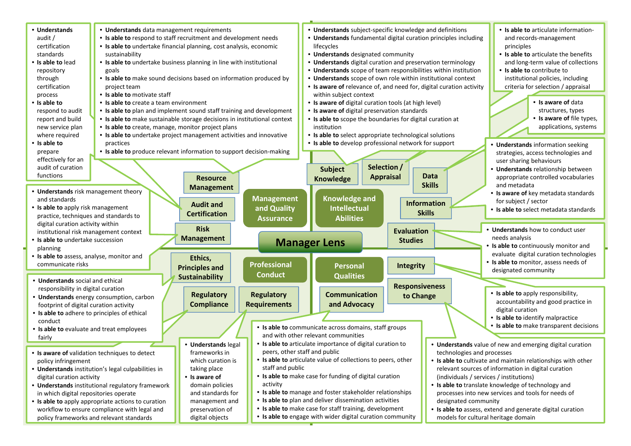